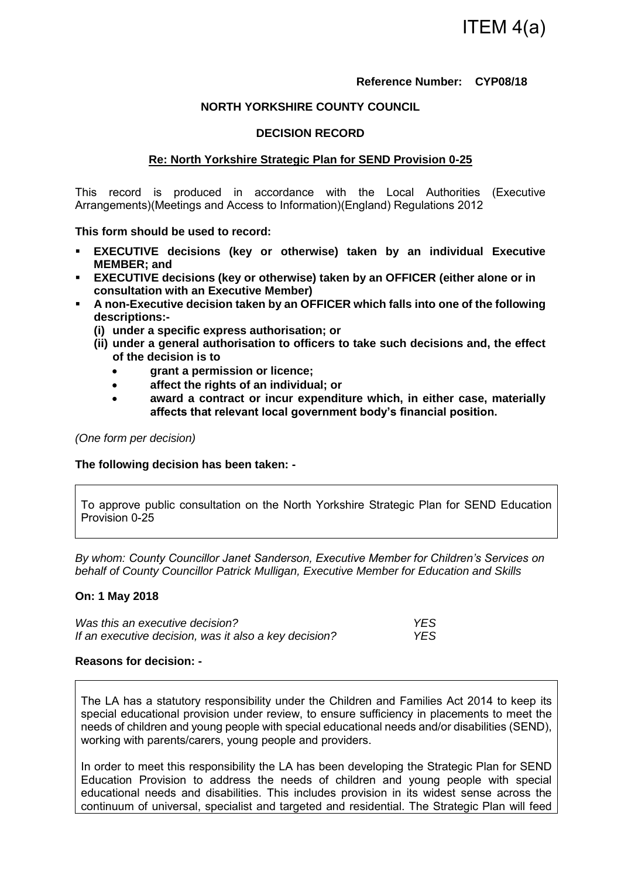## **Reference Number: CYP08/18**

## **NORTH YORKSHIRE COUNTY COUNCIL**

## **DECISION RECORD**

### **Re: North Yorkshire Strategic Plan for SEND Provision 0-25**

This record is produced in accordance with the Local Authorities (Executive Arrangements)(Meetings and Access to Information)(England) Regulations 2012

**This form should be used to record:** 

- **EXECUTIVE decisions (key or otherwise) taken by an individual Executive MEMBER; and**
- **EXECUTIVE decisions (key or otherwise) taken by an OFFICER (either alone or in consultation with an Executive Member)**
- **A non-Executive decision taken by an OFFICER which falls into one of the following descriptions:-** 
	- **(i) under a specific express authorisation; or**
	- **(ii) under a general authorisation to officers to take such decisions and, the effect of the decision is to** 
		- **grant a permission or licence;**
		- **affect the rights of an individual; or**
		- **award a contract or incur expenditure which, in either case, materially affects that relevant local government body's financial position.**

*(One form per decision)* 

**The following decision has been taken: -** 

To approve public consultation on the North Yorkshire Strategic Plan for SEND Education Provision 0-25

*By whom: County Councillor Janet Sanderson, Executive Member for Children's Services on behalf of County Councillor Patrick Mulligan, Executive Member for Education and Skills* 

#### **On: 1 May 2018**

| Was this an executive decision?                       | <b>YES</b> |
|-------------------------------------------------------|------------|
| If an executive decision, was it also a key decision? | <b>YES</b> |

### **Reasons for decision: -**

The LA has a statutory responsibility under the Children and Families Act 2014 to keep its special educational provision under review, to ensure sufficiency in placements to meet the needs of children and young people with special educational needs and/or disabilities (SEND), working with parents/carers, young people and providers.

In order to meet this responsibility the LA has been developing the Strategic Plan for SEND Education Provision to address the needs of children and young people with special educational needs and disabilities. This includes provision in its widest sense across the continuum of universal, specialist and targeted and residential. The Strategic Plan will feed